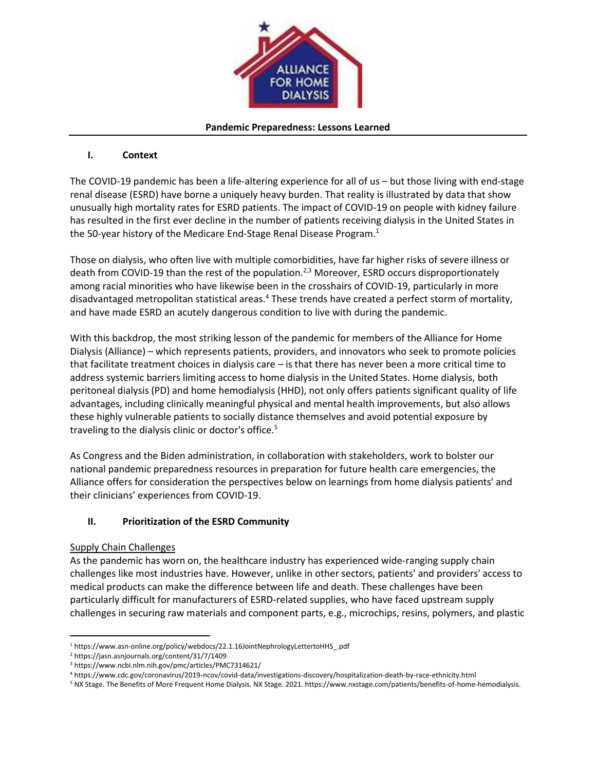

#### **Pandemic Preparedness: Lessons Learned**

## **I. Context**

The COVID-19 pandemic has been a life-altering experience for all of us – but those living with end-stage renal disease (ESRD) have borne a uniquely heavy burden. That reality is illustrated by data that show unusually high mortality rates for ESRD patients. The impact of COVID-19 on people with kidney failure has resulted in the first ever decline in the number of patients receiving dialysis in the United States in the 50-year history of the Medicare End-Stage Renal Disease Program.<sup>1</sup>

Those on dialysis, who often live with multiple comorbidities, have far higher risks of severe illness or death from COVID-19 than the rest of the population.<sup>2,3</sup> Moreover, ESRD occurs disproportionately among racial minorities who have likewise been in the crosshairs of COVID-19, particularly in more disadvantaged metropolitan statistical areas.<sup>4</sup> These trends have created a perfect storm of mortality, and have made ESRD an acutely dangerous condition to live with during the pandemic.

With this backdrop, the most striking lesson of the pandemic for members of the Alliance for Home Dialysis (Alliance) – which represents patients, providers, and innovators who seek to promote policies that facilitate treatment choices in dialysis care – is that there has never been a more critical time to address systemic barriers limiting access to home dialysis in the United States. Home dialysis, both peritoneal dialysis (PD) and home hemodialysis (HHD), not only offers patients significant quality of life advantages, including clinically meaningful physical and mental health improvements, but also allows these highly vulnerable patients to socially distance themselves and avoid potential exposure by traveling to the dialysis clinic or doctor's office.<sup>5</sup>

As Congress and the Biden administration, in collaboration with stakeholders, work to bolster our national pandemic preparedness resources in preparation for future health care emergencies, the Alliance offers for consideration the perspectives below on learnings from home dialysis patients' and their clinicians' experiences from COVID-19.

# **II. Prioritization of the ESRD Community**

### Supply Chain Challenges

As the pandemic has worn on, the healthcare industry has experienced wide-ranging supply chain challenges like most industries have. However, unlike in other sectors, patients' and providers' access to medical products can make the difference between life and death. These challenges have been particularly difficult for manufacturers of ESRD-related supplies, who have faced upstream supply challenges in securing raw materials and component parts, e.g., microchips, resins, polymers, and plastic

<sup>5</sup> NX Stage. The Benefits of More Frequent Home Dialysis. NX Stage. 2021. https://www.nxstage.com/patients/benefits-of-home-hemodialysis.

<sup>1</sup> https://www.asn-online.org/policy/webdocs/22.1.16JointNephrologyLettertoHHS\_.pdf

<sup>2</sup> https://jasn.asnjournals.org/content/31/7/1409

<sup>3</sup> https://www.ncbi.nlm.nih.gov/pmc/articles/PMC7314621/

<sup>4</sup> https://www.cdc.gov/coronavirus/2019-ncov/covid-data/investigations-discovery/hospitalization-death-by-race-ethnicity.html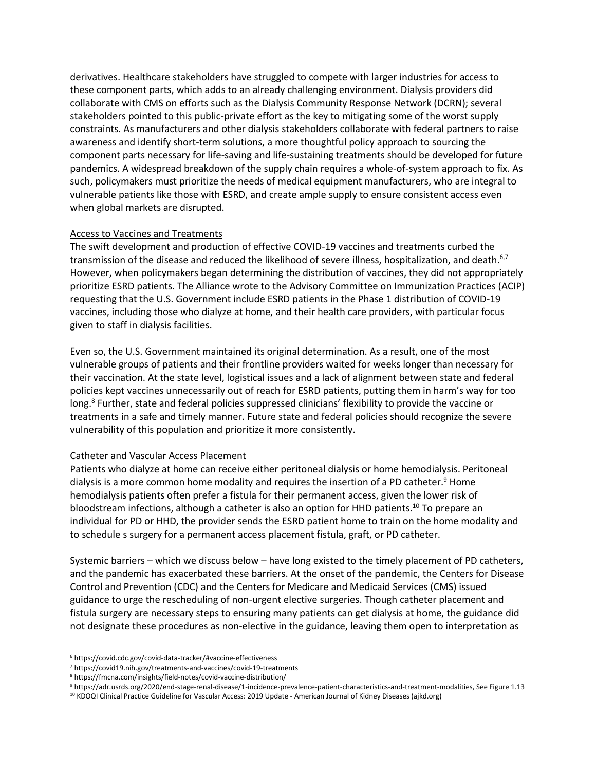derivatives. Healthcare stakeholders have struggled to compete with larger industries for access to these component parts, which adds to an already challenging environment. Dialysis providers did collaborate with CMS on efforts such as the Dialysis Community Response Network (DCRN); several stakeholders pointed to this public-private effort as the key to mitigating some of the worst supply constraints. As manufacturers and other dialysis stakeholders collaborate with federal partners to raise awareness and identify short-term solutions, a more thoughtful policy approach to sourcing the component parts necessary for life-saving and life-sustaining treatments should be developed for future pandemics. A widespread breakdown of the supply chain requires a whole-of-system approach to fix. As such, policymakers must prioritize the needs of medical equipment manufacturers, who are integral to vulnerable patients like those with ESRD, and create ample supply to ensure consistent access even when global markets are disrupted.

#### Access to Vaccines and Treatments

The swift development and production of effective COVID-19 vaccines and treatments curbed the transmission of the disease and reduced the likelihood of severe illness, hospitalization, and death.<sup>6,7</sup> However, when policymakers began determining the distribution of vaccines, they did not appropriately prioritize ESRD patients. The Alliance wrote to the Advisory Committee on Immunization Practices (ACIP) requesting that the U.S. Government include ESRD patients in the Phase 1 distribution of COVID-19 vaccines, including those who dialyze at home, and their health care providers, with particular focus given to staff in dialysis facilities.

Even so, the U.S. Government maintained its original determination. As a result, one of the most vulnerable groups of patients and their frontline providers waited for weeks longer than necessary for their vaccination. At the state level, logistical issues and a lack of alignment between state and federal policies kept vaccines unnecessarily out of reach for ESRD patients, putting them in harm's way for too long.<sup>8</sup> Further, state and federal policies suppressed clinicians' flexibility to provide the vaccine or treatments in a safe and timely manner. Future state and federal policies should recognize the severe vulnerability of this population and prioritize it more consistently.

### Catheter and Vascular Access Placement

Patients who dialyze at home can receive either peritoneal dialysis or home hemodialysis. Peritoneal dialysis is a more common home modality and requires the insertion of a PD catheter.<sup>9</sup> Home hemodialysis patients often prefer a fistula for their permanent access, given the lower risk of bloodstream infections, although a catheter is also an option for HHD patients.<sup>10</sup> To prepare an individual for PD or HHD, the provider sends the ESRD patient home to train on the home modality and to schedule s surgery for a permanent access placement fistula, graft, or PD catheter.

Systemic barriers – which we discuss below – have long existed to the timely placement of PD catheters, and the pandemic has exacerbated these barriers. At the onset of the pandemic, the Centers for Disease Control and Prevention (CDC) and the Centers for Medicare and Medicaid Services (CMS) issued guidance to urge the rescheduling of non-urgent elective surgeries. Though catheter placement and fistula surgery are necessary steps to ensuring many patients can get dialysis at home, the guidance did not designate these procedures as non-elective in the guidance, leaving them open to interpretation as

<sup>6</sup> https://covid.cdc.gov/covid-data-tracker/#vaccine-effectiveness

<sup>7</sup> https://covid19.nih.gov/treatments-and-vaccines/covid-19-treatments

<sup>8</sup> https://fmcna.com/insights/field-notes/covid-vaccine-distribution/

<sup>9</sup> https://adr.usrds.org/2020/end-stage-renal-disease/1-incidence-prevalence-patient-characteristics-and-treatment-modalities, See Figure 1.13

<sup>10</sup> KDOQI Clinical Practice Guideline for Vascular Access: 2019 Update - American Journal of Kidney Diseases (ajkd.org)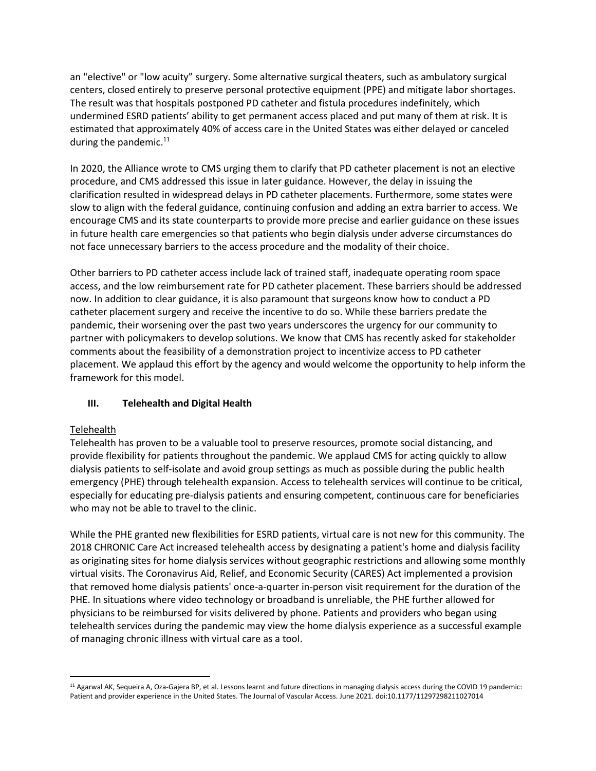an "elective" or "low acuity" surgery. Some alternative surgical theaters, such as ambulatory surgical centers, closed entirely to preserve personal protective equipment (PPE) and mitigate labor shortages. The result was that hospitals postponed PD catheter and fistula procedures indefinitely, which undermined ESRD patients' ability to get permanent access placed and put many of them at risk. It is estimated that approximately 40% of access care in the United States was either delayed or canceled during the pandemic. $11$ 

In 2020, the Alliance wrote to CMS urging them to clarify that PD catheter placement is not an elective procedure, and CMS addressed this issue in later guidance. However, the delay in issuing the clarification resulted in widespread delays in PD catheter placements. Furthermore, some states were slow to align with the federal guidance, continuing confusion and adding an extra barrier to access. We encourage CMS and its state counterparts to provide more precise and earlier guidance on these issues in future health care emergencies so that patients who begin dialysis under adverse circumstances do not face unnecessary barriers to the access procedure and the modality of their choice.

Other barriers to PD catheter access include lack of trained staff, inadequate operating room space access, and the low reimbursement rate for PD catheter placement. These barriers should be addressed now. In addition to clear guidance, it is also paramount that surgeons know how to conduct a PD catheter placement surgery and receive the incentive to do so. While these barriers predate the pandemic, their worsening over the past two years underscores the urgency for our community to partner with policymakers to develop solutions. We know that CMS has recently asked for stakeholder comments about the feasibility of a demonstration project to incentivize access to PD catheter placement. We applaud this effort by the agency and would welcome the opportunity to help inform the framework for this model.

# **III. Telehealth and Digital Health**

### Telehealth

Telehealth has proven to be a valuable tool to preserve resources, promote social distancing, and provide flexibility for patients throughout the pandemic. We applaud CMS for acting quickly to allow dialysis patients to self-isolate and avoid group settings as much as possible during the public health emergency (PHE) through telehealth expansion. Access to telehealth services will continue to be critical, especially for educating pre-dialysis patients and ensuring competent, continuous care for beneficiaries who may not be able to travel to the clinic.

While the PHE granted new flexibilities for ESRD patients, virtual care is not new for this community. The 2018 CHRONIC Care Act increased telehealth access by designating a patient's home and dialysis facility as originating sites for home dialysis services without geographic restrictions and allowing some monthly virtual visits. The Coronavirus Aid, Relief, and Economic Security (CARES) Act implemented a provision that removed home dialysis patients' once-a-quarter in-person visit requirement for the duration of the PHE. In situations where video technology or broadband is unreliable, the PHE further allowed for physicians to be reimbursed for visits delivered by phone. Patients and providers who began using telehealth services during the pandemic may view the home dialysis experience as a successful example of managing chronic illness with virtual care as a tool.

<sup>11</sup> Agarwal AK, Sequeira A, Oza-Gajera BP, et al. Lessons learnt and future directions in managing dialysis access during the COVID 19 pandemic: Patient and provider experience in the United States. The Journal of Vascular Access. June 2021. doi:10.1177/11297298211027014